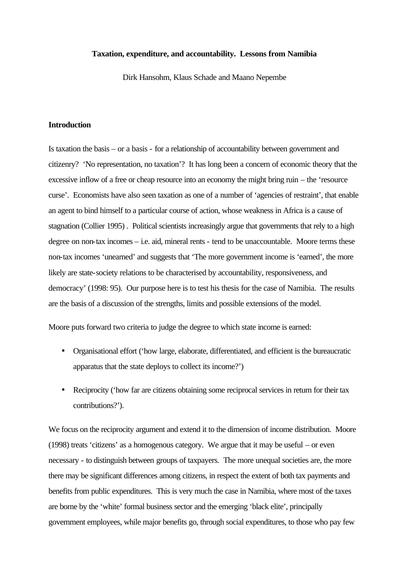#### **Taxation, expenditure, and accountability. Lessons from Namibia**

Dirk Hansohm, Klaus Schade and Maano Nepembe

# **Introduction**

Is taxation the basis – or a basis - for a relationship of accountability between government and citizenry? 'No representation, no taxation'? It has long been a concern of economic theory that the excessive inflow of a free or cheap resource into an economy the might bring ruin – the 'resource curse'. Economists have also seen taxation as one of a number of 'agencies of restraint', that enable an agent to bind himself to a particular course of action, whose weakness in Africa is a cause of stagnation (Collier 1995) . Political scientists increasingly argue that governments that rely to a high degree on non-tax incomes – i.e. aid, mineral rents - tend to be unaccountable. Moore terms these non-tax incomes 'unearned' and suggests that 'The more government income is 'earned', the more likely are state-society relations to be characterised by accountability, responsiveness, and democracy' (1998: 95). Our purpose here is to test his thesis for the case of Namibia. The results are the basis of a discussion of the strengths, limits and possible extensions of the model.

Moore puts forward two criteria to judge the degree to which state income is earned:

- Organisational effort ('how large, elaborate, differentiated, and efficient is the bureaucratic apparatus that the state deploys to collect its income?')
- Reciprocity ('how far are citizens obtaining some reciprocal services in return for their tax contributions?').

We focus on the reciprocity argument and extend it to the dimension of income distribution. Moore (1998) treats 'citizens' as a homogenous category. We argue that it may be useful – or even necessary - to distinguish between groups of taxpayers. The more unequal societies are, the more there may be significant differences among citizens, in respect the extent of both tax payments and benefits from public expenditures. This is very much the case in Namibia, where most of the taxes are borne by the 'white' formal business sector and the emerging 'black elite', principally government employees, while major benefits go, through social expenditures, to those who pay few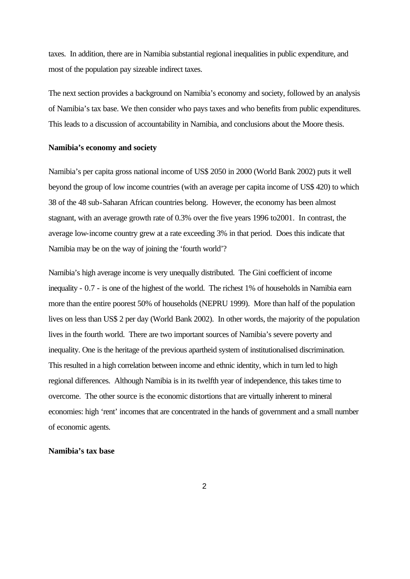taxes. In addition, there are in Namibia substantial regional inequalities in public expenditure, and most of the population pay sizeable indirect taxes.

The next section provides a background on Namibia's economy and society, followed by an analysis of Namibia's tax base. We then consider who pays taxes and who benefits from public expenditures. This leads to a discussion of accountability in Namibia, and conclusions about the Moore thesis.

### **Namibia's economy and society**

Namibia's per capita gross national income of US\$ 2050 in 2000 (World Bank 2002) puts it well beyond the group of low income countries (with an average per capita income of US\$ 420) to which 38 of the 48 sub-Saharan African countries belong. However, the economy has been almost stagnant, with an average growth rate of 0.3% over the five years 1996 to2001. In contrast, the average low-income country grew at a rate exceeding 3% in that period. Does this indicate that Namibia may be on the way of joining the 'fourth world'?

Namibia's high average income is very unequally distributed. The Gini coefficient of income inequality - 0.7 - is one of the highest of the world. The richest 1% of households in Namibia earn more than the entire poorest 50% of households (NEPRU 1999). More than half of the population lives on less than US\$ 2 per day (World Bank 2002). In other words, the majority of the population lives in the fourth world. There are two important sources of Namibia's severe poverty and inequality. One is the heritage of the previous apartheid system of institutionalised discrimination. This resulted in a high correlation between income and ethnic identity, which in turn led to high regional differences. Although Namibia is in its twelfth year of independence, this takes time to overcome. The other source is the economic distortions that are virtually inherent to mineral economies: high 'rent' incomes that are concentrated in the hands of government and a small number of economic agents.

# **Namibia's tax base**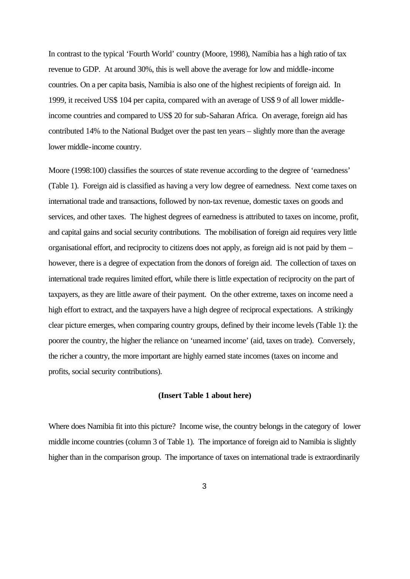In contrast to the typical 'Fourth World' country (Moore, 1998), Namibia has a high ratio of tax revenue to GDP. At around 30%, this is well above the average for low and middle-income countries. On a per capita basis, Namibia is also one of the highest recipients of foreign aid. In 1999, it received US\$ 104 per capita, compared with an average of US\$ 9 of all lower middleincome countries and compared to US\$ 20 for sub-Saharan Africa. On average, foreign aid has contributed 14% to the National Budget over the past ten years – slightly more than the average lower middle-income country.

Moore (1998:100) classifies the sources of state revenue according to the degree of 'earnedness' (Table 1). Foreign aid is classified as having a very low degree of earnedness. Next come taxes on international trade and transactions, followed by non-tax revenue, domestic taxes on goods and services, and other taxes. The highest degrees of earnedness is attributed to taxes on income, profit, and capital gains and social security contributions. The mobilisation of foreign aid requires very little organisational effort, and reciprocity to citizens does not apply, as foreign aid is not paid by them – however, there is a degree of expectation from the donors of foreign aid. The collection of taxes on international trade requires limited effort, while there is little expectation of reciprocity on the part of taxpayers, as they are little aware of their payment. On the other extreme, taxes on income need a high effort to extract, and the taxpayers have a high degree of reciprocal expectations. A strikingly clear picture emerges, when comparing country groups, defined by their income levels (Table 1): the poorer the country, the higher the reliance on 'unearned income' (aid, taxes on trade). Conversely, the richer a country, the more important are highly earned state incomes (taxes on income and profits, social security contributions).

## **(Insert Table 1 about here)**

Where does Namibia fit into this picture? Income wise, the country belongs in the category of lower middle income countries (column 3 of Table 1). The importance of foreign aid to Namibia is slightly higher than in the comparison group. The importance of taxes on international trade is extraordinarily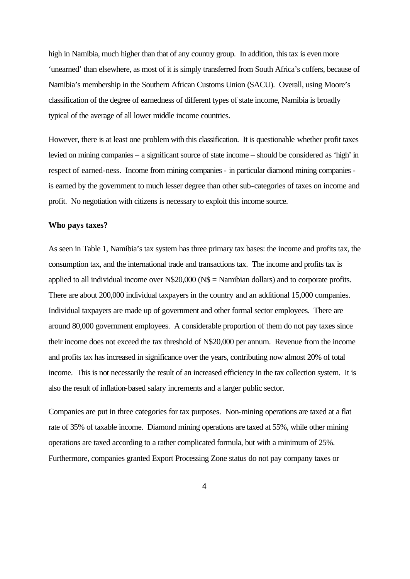high in Namibia, much higher than that of any country group. In addition, this tax is even more 'unearned' than elsewhere, as most of it is simply transferred from South Africa's coffers, because of Namibia's membership in the Southern African Customs Union (SACU). Overall, using Moore's classification of the degree of earnedness of different types of state income, Namibia is broadly typical of the average of all lower middle income countries.

However, there is at least one problem with this classification. It is questionable whether profit taxes levied on mining companies – a significant source of state income – should be considered as 'high' in respect of earned-ness. Income from mining companies - in particular diamond mining companies is earned by the government to much lesser degree than other sub-categories of taxes on income and profit. No negotiation with citizens is necessary to exploit this income source.

#### **Who pays taxes?**

As seen in Table 1, Namibia's tax system has three primary tax bases: the income and profits tax, the consumption tax, and the international trade and transactions tax. The income and profits tax is applied to all individual income over  $N$20,000 (N$ = Namibian dollars)$  and to corporate profits. There are about 200,000 individual taxpayers in the country and an additional 15,000 companies. Individual taxpayers are made up of government and other formal sector employees. There are around 80,000 government employees. A considerable proportion of them do not pay taxes since their income does not exceed the tax threshold of N\$20,000 per annum. Revenue from the income and profits tax has increased in significance over the years, contributing now almost 20% of total income. This is not necessarily the result of an increased efficiency in the tax collection system. It is also the result of inflation-based salary increments and a larger public sector.

Companies are put in three categories for tax purposes. Non-mining operations are taxed at a flat rate of 35% of taxable income. Diamond mining operations are taxed at 55%, while other mining operations are taxed according to a rather complicated formula, but with a minimum of 25%. Furthermore, companies granted Export Processing Zone status do not pay company taxes or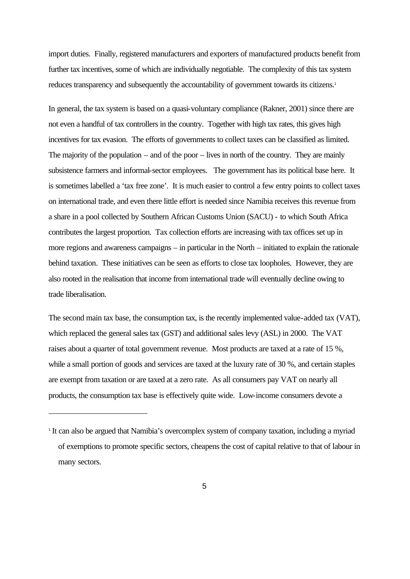import duties. Finally, registered manufacturers and exporters of manufactured products benefit from further tax incentives, some of which are individually negotiable. The complexity of this tax system reduces transparency and subsequently the accountability of government towards its citizens.<sup>1</sup>

In general, the tax system is based on a quasi-voluntary compliance (Rakner, 2001) since there are not even a handful of tax controllers in the country. Together with high tax rates, this gives high incentives for tax evasion. The efforts of governments to collect taxes can be classified as limited. The majority of the population – and of the poor – lives in north of the country. They are mainly subsistence farmers and informal-sector employees. The government has its political base here. It is sometimes labelled a 'tax free zone'. It is much easier to control a few entry points to collect taxes on international trade, and even there little effort is needed since Namibia receives this revenue from a share in a pool collected by Southern African Customs Union (SACU) - to which South Africa contributes the largest proportion. Tax collection efforts are increasing with tax offices set up in more regions and awareness campaigns – in particular in the North – initiated to explain the rationale behind taxation. These initiatives can be seen as efforts to close tax loopholes. However, they are also rooted in the realisation that income from international trade will eventually decline owing to trade liberalisation.

The second main tax base, the consumption tax, is the recently implemented value-added tax (VAT), which replaced the general sales tax (GST) and additional sales levy (ASL) in 2000. The VAT raises about a quarter of total government revenue. Most products are taxed at a rate of 15 %, while a small portion of goods and services are taxed at the luxury rate of 30 %, and certain staples are exempt from taxation or are taxed at a zero rate. As all consumers pay VAT on nearly all products, the consumption tax base is effectively quite wide. Low-income consumers devote a

l

<sup>&</sup>lt;sup>1</sup> It can also be argued that Namibia's overcomplex system of company taxation, including a myriad of exemptions to promote specific sectors, cheapens the cost of capital relative to that of labour in many sectors.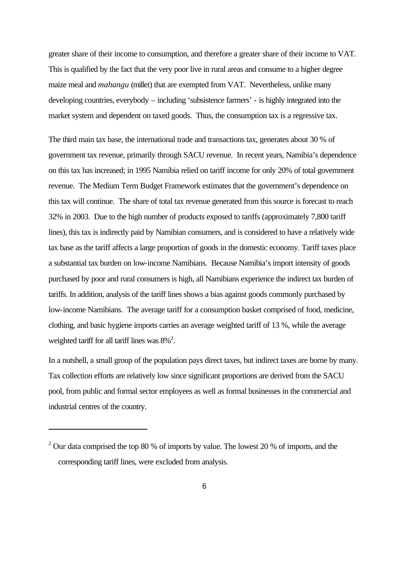greater share of their income to consumption, and therefore a greater share of their income to VAT. This is qualified by the fact that the very poor live in rural areas and consume to a higher degree maize meal and *mahangu* (millet) that are exempted from VAT. Nevertheless, unlike many developing countries, everybody – including 'subsistence farmers' - is highly integrated into the market system and dependent on taxed goods. Thus, the consumption tax is a regressive tax.

The third main tax base, the international trade and transactions tax, generates about 30 % of government tax revenue, primarily through SACU revenue. In recent years, Namibia's dependence on this tax has increased; in 1995 Namibia relied on tariff income for only 20% of total government revenue. The Medium Term Budget Framework estimates that the government's dependence on this tax will continue. The share of total tax revenue generated from this source is forecast to reach 32% in 2003. Due to the high number of products exposed to tariffs (approximately 7,800 tariff lines), this tax is indirectly paid by Namibian consumers, and is considered to have a relatively wide tax base as the tariff affects a large proportion of goods in the domestic economy. Tariff taxes place a substantial tax burden on low-income Namibians. Because Namibia's import intensity of goods purchased by poor and rural consumers is high, all Namibians experience the indirect tax burden of tariffs. In addition, analysis of the tariff lines shows a bias against goods commonly purchased by low-income Namibians. The average tariff for a consumption basket comprised of food, medicine, clothing, and basic hygiene imports carries an average weighted tariff of 13 %, while the average weighted tariff for all tariff lines was  $8\%^2$ .

In a nutshell, a small group of the population pays direct taxes, but indirect taxes are borne by many. Tax collection efforts are relatively low since significant proportions are derived from the SACU pool, from public and formal sector employees as well as formal businesses in the commercial and industrial centres of the country.

l

 $2^2$  Our data comprised the top 80 % of imports by value. The lowest 20 % of imports, and the corresponding tariff lines, were excluded from analysis.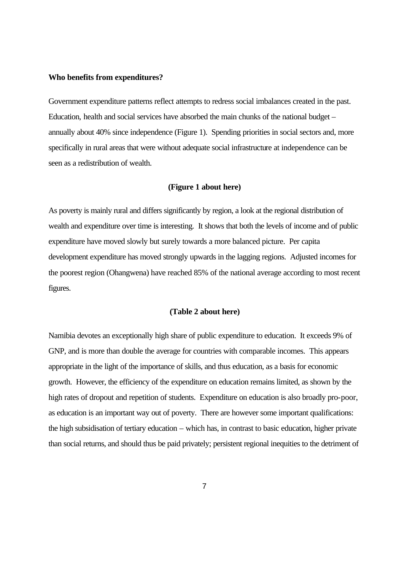#### **Who benefits from expenditures?**

Government expenditure patterns reflect attempts to redress social imbalances created in the past. Education, health and social services have absorbed the main chunks of the national budget – annually about 40% since independence (Figure 1). Spending priorities in social sectors and, more specifically in rural areas that were without adequate social infrastructure at independence can be seen as a redistribution of wealth.

## **(Figure 1 about here)**

As poverty is mainly rural and differs significantly by region, a look at the regional distribution of wealth and expenditure over time is interesting. It shows that both the levels of income and of public expenditure have moved slowly but surely towards a more balanced picture. Per capita development expenditure has moved strongly upwards in the lagging regions. Adjusted incomes for the poorest region (Ohangwena) have reached 85% of the national average according to most recent figures.

### **(Table 2 about here)**

Namibia devotes an exceptionally high share of public expenditure to education. It exceeds 9% of GNP, and is more than double the average for countries with comparable incomes. This appears appropriate in the light of the importance of skills, and thus education, as a basis for economic growth. However, the efficiency of the expenditure on education remains limited, as shown by the high rates of dropout and repetition of students. Expenditure on education is also broadly pro-poor, as education is an important way out of poverty. There are however some important qualifications: the high subsidisation of tertiary education – which has, in contrast to basic education, higher private than social returns, and should thus be paid privately; persistent regional inequities to the detriment of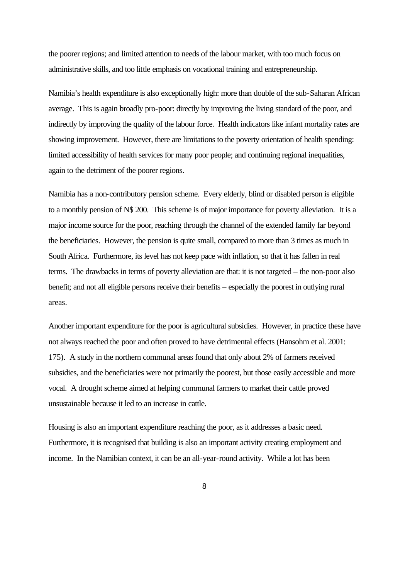the poorer regions; and limited attention to needs of the labour market, with too much focus on administrative skills, and too little emphasis on vocational training and entrepreneurship.

Namibia's health expenditure is also exceptionally high: more than double of the sub-Saharan African average. This is again broadly pro-poor: directly by improving the living standard of the poor, and indirectly by improving the quality of the labour force. Health indicators like infant mortality rates are showing improvement. However, there are limitations to the poverty orientation of health spending: limited accessibility of health services for many poor people; and continuing regional inequalities, again to the detriment of the poorer regions.

Namibia has a non-contributory pension scheme. Every elderly, blind or disabled person is eligible to a monthly pension of N\$ 200. This scheme is of major importance for poverty alleviation. It is a major income source for the poor, reaching through the channel of the extended family far beyond the beneficiaries. However, the pension is quite small, compared to more than 3 times as much in South Africa. Furthermore, its level has not keep pace with inflation, so that it has fallen in real terms. The drawbacks in terms of poverty alleviation are that: it is not targeted – the non-poor also benefit; and not all eligible persons receive their benefits – especially the poorest in outlying rural areas.

Another important expenditure for the poor is agricultural subsidies. However, in practice these have not always reached the poor and often proved to have detrimental effects (Hansohm et al. 2001: 175). A study in the northern communal areas found that only about 2% of farmers received subsidies, and the beneficiaries were not primarily the poorest, but those easily accessible and more vocal. A drought scheme aimed at helping communal farmers to market their cattle proved unsustainable because it led to an increase in cattle.

Housing is also an important expenditure reaching the poor, as it addresses a basic need. Furthermore, it is recognised that building is also an important activity creating employment and income. In the Namibian context, it can be an all-year-round activity. While a lot has been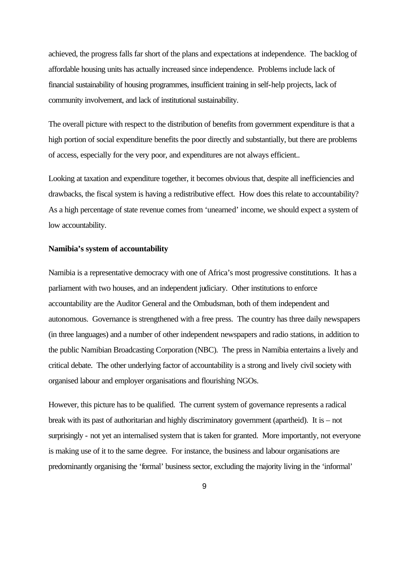achieved, the progress falls far short of the plans and expectations at independence. The backlog of affordable housing units has actually increased since independence. Problems include lack of financial sustainability of housing programmes, insufficient training in self-help projects, lack of community involvement, and lack of institutional sustainability.

The overall picture with respect to the distribution of benefits from government expenditure is that a high portion of social expenditure benefits the poor directly and substantially, but there are problems of access, especially for the very poor, and expenditures are not always efficient..

Looking at taxation and expenditure together, it becomes obvious that, despite all inefficiencies and drawbacks, the fiscal system is having a redistributive effect. How does this relate to accountability? As a high percentage of state revenue comes from 'unearned' income, we should expect a system of low accountability.

#### **Namibia's system of accountability**

Namibia is a representative democracy with one of Africa's most progressive constitutions. It has a parliament with two houses, and an independent judiciary. Other institutions to enforce accountability are the Auditor General and the Ombudsman, both of them independent and autonomous. Governance is strengthened with a free press. The country has three daily newspapers (in three languages) and a number of other independent newspapers and radio stations, in addition to the public Namibian Broadcasting Corporation (NBC). The press in Namibia entertains a lively and critical debate. The other underlying factor of accountability is a strong and lively civil society with organised labour and employer organisations and flourishing NGOs.

However, this picture has to be qualified. The current system of governance represents a radical break with its past of authoritarian and highly discriminatory government (apartheid). It is – not surprisingly - not yet an internalised system that is taken for granted. More importantly, not everyone is making use of it to the same degree. For instance, the business and labour organisations are predominantly organising the 'formal' business sector, excluding the majority living in the 'informal'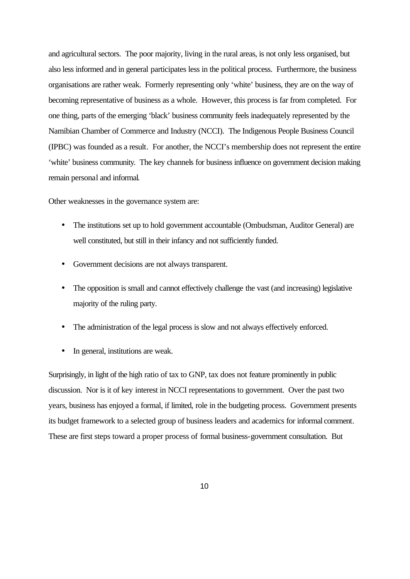and agricultural sectors. The poor majority, living in the rural areas, is not only less organised, but also less informed and in general participates less in the political process. Furthermore, the business organisations are rather weak. Formerly representing only 'white' business, they are on the way of becoming representative of business as a whole. However, this process is far from completed. For one thing, parts of the emerging 'black' business community feels inadequately represented by the Namibian Chamber of Commerce and Industry (NCCI). The Indigenous People Business Council (IPBC) was founded as a result. For another, the NCCI's membership does not represent the entire 'white' business community. The key channels for business influence on government decision making remain personal and informal.

Other weaknesses in the governance system are:

- The institutions set up to hold government accountable (Ombudsman, Auditor General) are well constituted, but still in their infancy and not sufficiently funded.
- Government decisions are not always transparent.
- The opposition is small and cannot effectively challenge the vast (and increasing) legislative majority of the ruling party.
- The administration of the legal process is slow and not always effectively enforced.
- In general, institutions are weak.

Surprisingly, in light of the high ratio of tax to GNP, tax does not feature prominently in public discussion. Nor is it of key interest in NCCI representations to government. Over the past two years, business has enjoyed a formal, if limited, role in the budgeting process. Government presents its budget framework to a selected group of business leaders and academics for informal comment. These are first steps toward a proper process of formal business-government consultation. But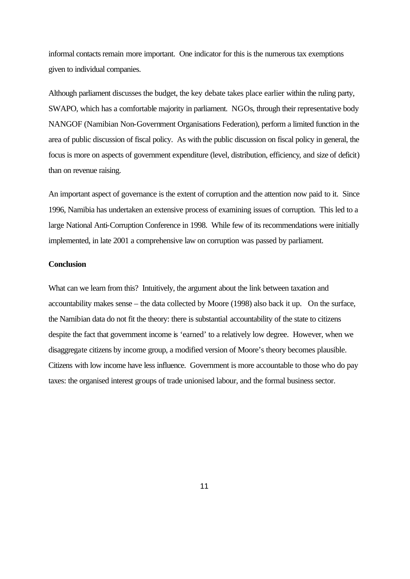informal contacts remain more important. One indicator for this is the numerous tax exemptions given to individual companies.

Although parliament discusses the budget, the key debate takes place earlier within the ruling party, SWAPO, which has a comfortable majority in parliament. NGOs, through their representative body NANGOF (Namibian Non-Government Organisations Federation), perform a limited function in the area of public discussion of fiscal policy. As with the public discussion on fiscal policy in general, the focus is more on aspects of government expenditure (level, distribution, efficiency, and size of deficit) than on revenue raising.

An important aspect of governance is the extent of corruption and the attention now paid to it. Since 1996, Namibia has undertaken an extensive process of examining issues of corruption. This led to a large National Anti-Corruption Conference in 1998. While few of its recommendations were initially implemented, in late 2001 a comprehensive law on corruption was passed by parliament.

## **Conclusion**

What can we learn from this? Intuitively, the argument about the link between taxation and accountability makes sense – the data collected by Moore (1998) also back it up. On the surface, the Namibian data do not fit the theory: there is substantial accountability of the state to citizens despite the fact that government income is 'earned' to a relatively low degree. However, when we disaggregate citizens by income group, a modified version of Moore's theory becomes plausible. Citizens with low income have less influence. Government is more accountable to those who do pay taxes: the organised interest groups of trade unionised labour, and the formal business sector.

11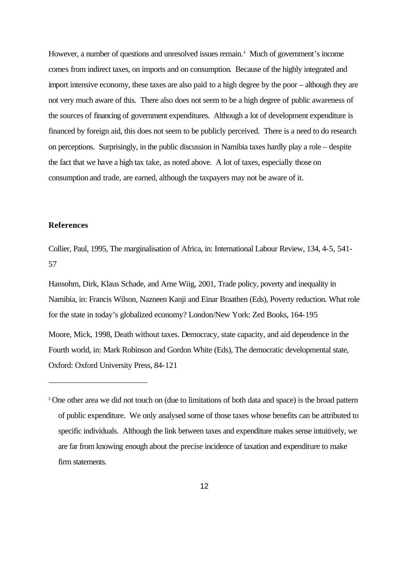However, a number of questions and unresolved issues remain.<sup>3</sup> Much of government's income comes from indirect taxes, on imports and on consumption. Because of the highly integrated and import intensive economy, these taxes are also paid to a high degree by the poor – although they are not very much aware of this. There also does not seem to be a high degree of public awareness of the sources of financing of government expenditures. Although a lot of development expenditure is financed by foreign aid, this does not seem to be publicly perceived. There is a need to do research on perceptions. Surprisingly, in the public discussion in Namibia taxes hardly play a role – despite the fact that we have a high tax take, as noted above. A lot of taxes, especially those on consumption and trade, are earned, although the taxpayers may not be aware of it.

## **References**

l

Collier, Paul, 1995, The marginalisation of Africa, in: International Labour Review, 134, 4-5, 541- 57

Hansohm, Dirk, Klaus Schade, and Arne Wiig, 2001, Trade policy, poverty and inequality in Namibia, in: Francis Wilson, Nazneen Kanji and Einar Braathen (Eds), Poverty reduction. What role for the state in today's globalized economy? London/New York: Zed Books, 164-195

Moore, Mick, 1998, Death without taxes. Democracy, state capacity, and aid dependence in the Fourth world, in: Mark Robinson and Gordon White (Eds), The democratic developmental state, Oxford: Oxford University Press, 84-121

<sup>&</sup>lt;sup>3</sup> One other area we did not touch on (due to limitations of both data and space) is the broad pattern of public expenditure. We only analysed some of those taxes whose benefits can be attributed to specific individuals. Although the link between taxes and expenditure makes sense intuitively, we are far from knowing enough about the precise incidence of taxation and expenditure to make firm statements.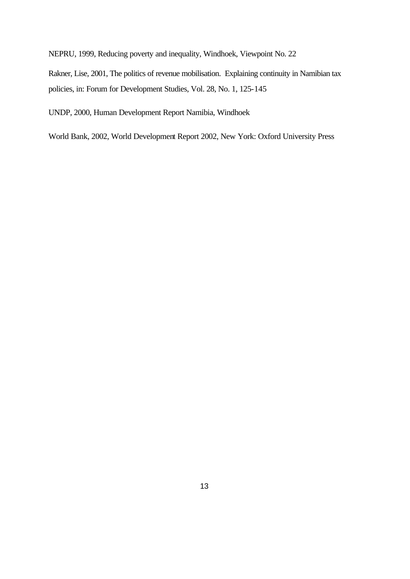NEPRU, 1999, Reducing poverty and inequality, Windhoek, Viewpoint No. 22

Rakner, Lise, 2001, The politics of revenue mobilisation. Explaining continuity in Namibian tax policies, in: Forum for Development Studies, Vol. 28, No. 1, 125-145

UNDP, 2000, Human Development Report Namibia, Windhoek

World Bank, 2002, World Development Report 2002, New York: Oxford University Press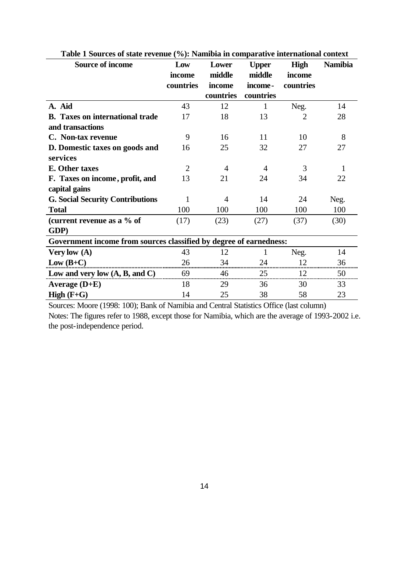| Source of income                                                   | Low            | Lower          | <b>Upper</b> | High      | <b>Namibia</b> |  |  |  |
|--------------------------------------------------------------------|----------------|----------------|--------------|-----------|----------------|--|--|--|
|                                                                    | income         | middle         | middle       | income    |                |  |  |  |
|                                                                    | countries      | income         | income-      | countries |                |  |  |  |
|                                                                    |                | countries      | countries    |           |                |  |  |  |
| A. Aid                                                             | 43             | 12             | 1            | Neg.      | 14             |  |  |  |
| <b>B.</b> Taxes on international trade                             | 17             | 18             | 13           | 2         | 28             |  |  |  |
| and transactions                                                   |                |                |              |           |                |  |  |  |
| C. Non-tax revenue                                                 | 9              | 16             | 11           | 10        | 8              |  |  |  |
| D. Domestic taxes on goods and                                     | 16             | 25             | 32           | 27        | 27             |  |  |  |
| services                                                           |                |                |              |           |                |  |  |  |
| <b>E.</b> Other taxes                                              | $\overline{2}$ | $\overline{A}$ | 4            | 3         |                |  |  |  |
| F. Taxes on income, profit, and                                    | 13             | 21             | 24           | 34        | 22             |  |  |  |
| capital gains                                                      |                |                |              |           |                |  |  |  |
| <b>G. Social Security Contributions</b>                            |                | 4              | 14           | 24        | Neg.           |  |  |  |
| <b>Total</b>                                                       | 100            | 100            | 100          | 100       | 100            |  |  |  |
| (current revenue as a % of                                         | (17)           | (23)           | (27)         | (37)      | (30)           |  |  |  |
| GDP)                                                               |                |                |              |           |                |  |  |  |
| Government income from sources classified by degree of earnedness: |                |                |              |           |                |  |  |  |
| Very low $(A)$                                                     | 43             | 12             | 1            | Neg.      | 14             |  |  |  |
| Low $(B+C)$                                                        | 26             | 34             | 24           | 12        | 36             |  |  |  |
| Low and very low $(A, B, and C)$                                   | 69             | 46             | 25           | 12        | 50             |  |  |  |
| Average $(D+E)$                                                    | 18             | 29             | 36           | 30        | 33             |  |  |  |
| $High(F+G)$                                                        | 14             | 25             | 38           | 58        | 23             |  |  |  |

Sources: Moore (1998: 100); Bank of Namibia and Central Statistics Office (last column) Notes: The figures refer to 1988, except those for Namibia, which are the average of 1993-2002 i.e. the post-independence period.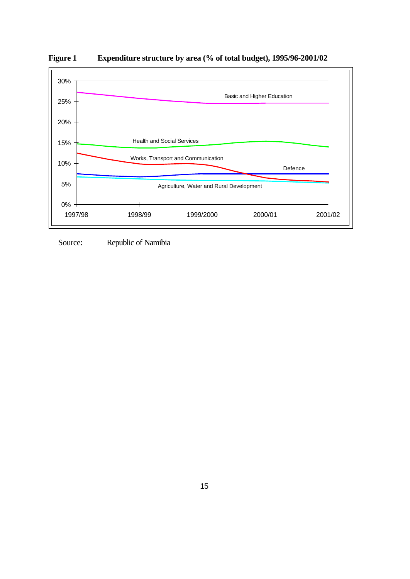

**Figure 1 Expenditure structure by area (% of total budget), 1995/96-2001/02**